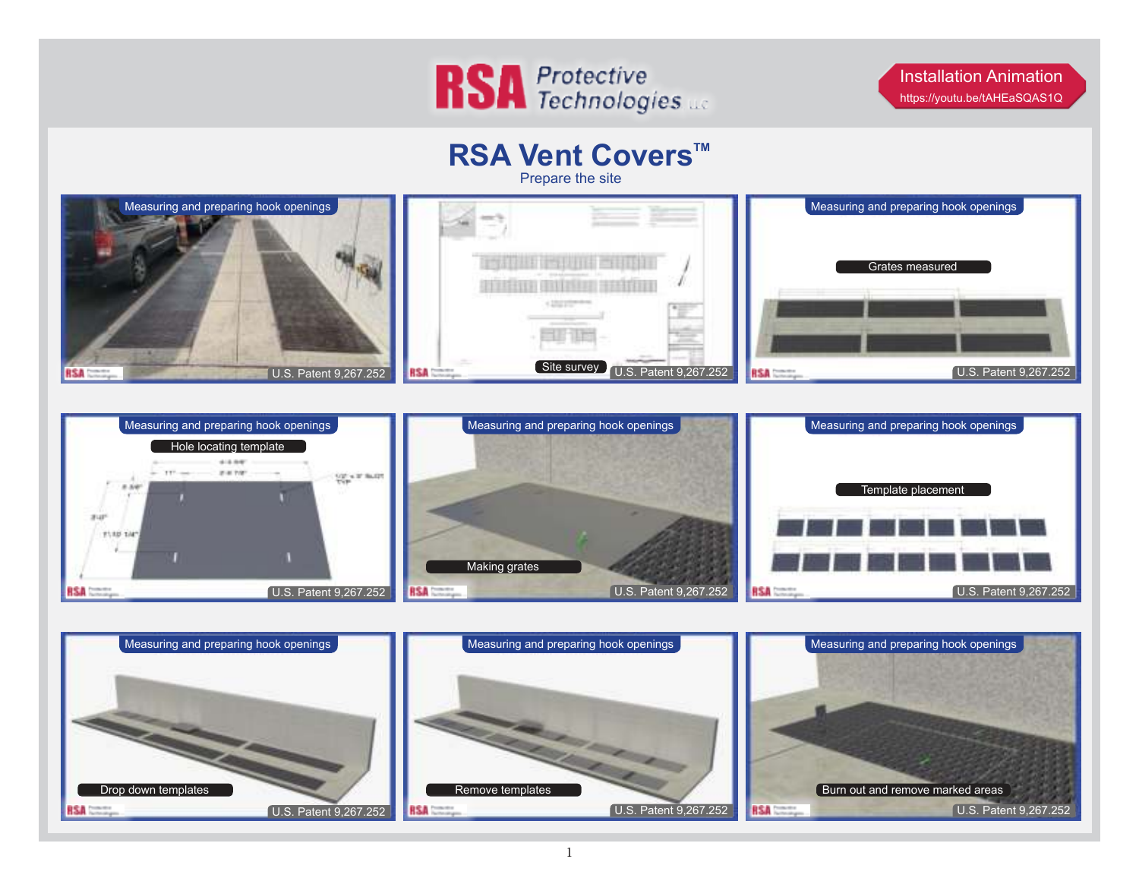

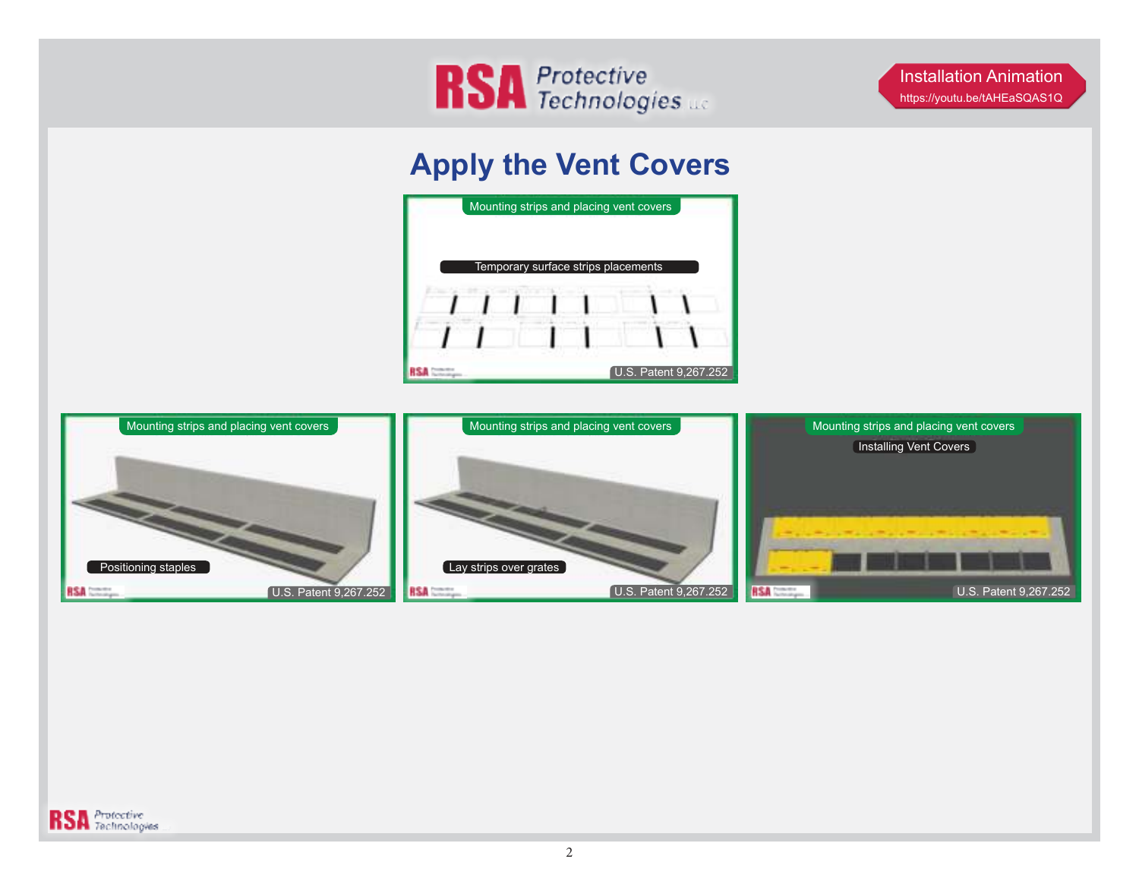

## **Apply the Vent Covers**





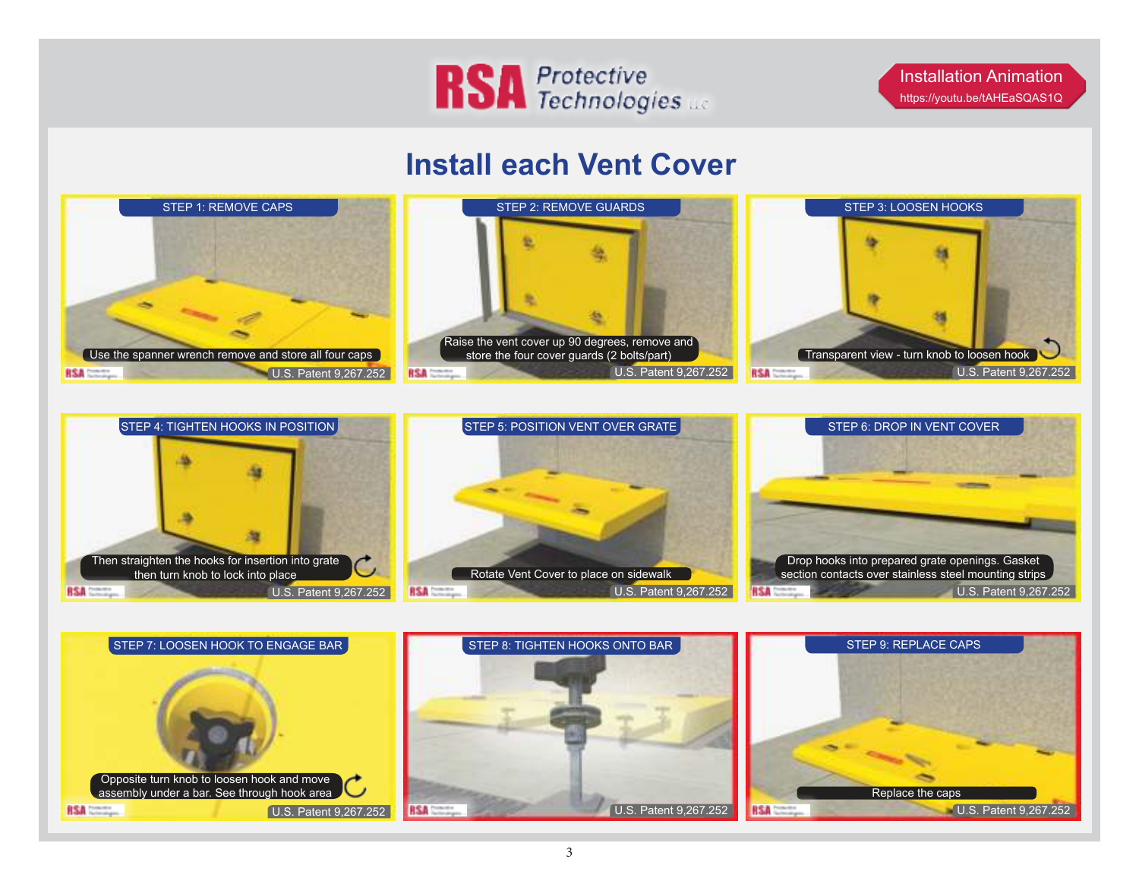

Installation Animation <https://youtu.be/tAHEaSQAS1Q>

## **Install each Vent Cover**